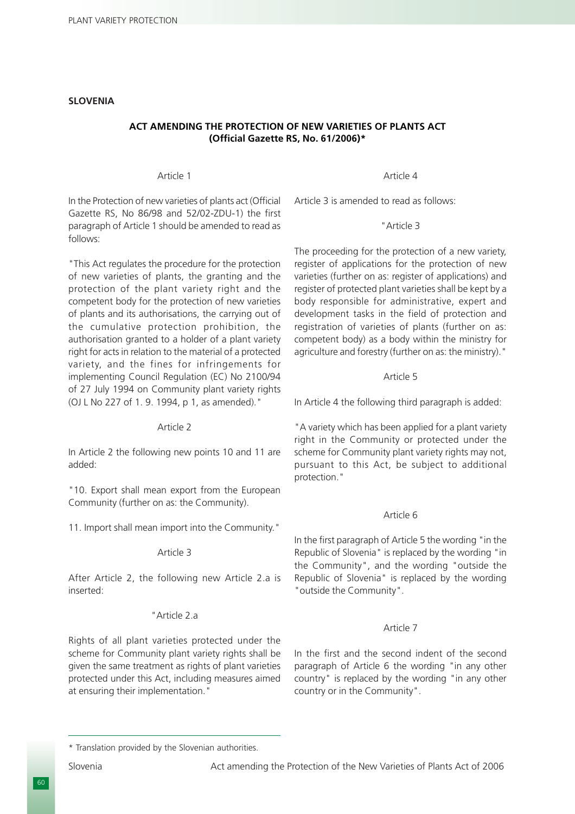# **SLOVENIA**

# **ACT AMENDING THE PROTECTION OF NEW VARIETIES OF PLANTS ACT (Official Gazette RS, No. 61/2006)\***

#### Article 1

In the Protection of new varieties of plants act (Official Gazette RS, No 86/98 and 52/02-ZDU-1) the first paragraph of Article 1 should be amended to read as follows:

"This Act regulates the procedure for the protection of new varieties of plants, the granting and the protection of the plant variety right and the competent body for the protection of new varieties of plants and its authorisations, the carrying out of the cumulative protection prohibition, the authorisation granted to a holder of a plant variety right for acts in relation to the material of a protected variety, and the fines for infringements for implementing Council Regulation (EC) No 2100/94 of 27 July 1994 on Community plant variety rights (OJ L No 227 of 1. 9. 1994, p 1, as amended)."

#### Article 2

In Article 2 the following new points 10 and 11 are added:

"10. Export shall mean export from the European Community (further on as: the Community).

11. Import shall mean import into the Community."

#### Article 3

After Article 2, the following new Article 2.a is inserted:

#### "Article 2.a

Rights of all plant varieties protected under the scheme for Community plant variety rights shall be given the same treatment as rights of plant varieties protected under this Act, including measures aimed at ensuring their implementation."

Article 4

Article 3 is amended to read as follows:

#### "Article 3

The proceeding for the protection of a new variety, register of applications for the protection of new varieties (further on as: register of applications) and register of protected plant varieties shall be kept by a body responsible for administrative, expert and development tasks in the field of protection and registration of varieties of plants (further on as: competent body) as a body within the ministry for agriculture and forestry (further on as: the ministry)."

#### Article 5

In Article 4 the following third paragraph is added:

"A variety which has been applied for a plant variety right in the Community or protected under the scheme for Community plant variety rights may not, pursuant to this Act, be subject to additional protection."

#### Article 6

In the first paragraph of Article 5 the wording "in the Republic of Slovenia" is replaced by the wording "in the Community", and the wording "outside the Republic of Slovenia" is replaced by the wording "outside the Community".

#### Article 7

In the first and the second indent of the second paragraph of Article 6 the wording "in any other country" is replaced by the wording "in any other country or in the Community".

<sup>\*</sup> Translation provided by the Slovenian authorities.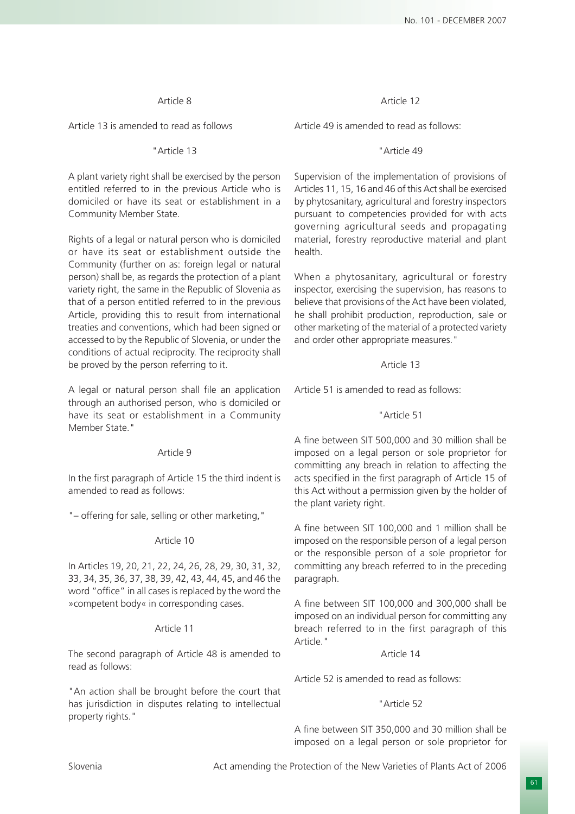## Article 8

Article 13 is amended to read as follows

# "Article 13

A plant variety right shall be exercised by the person entitled referred to in the previous Article who is domiciled or have its seat or establishment in a Community Member State.

Rights of a legal or natural person who is domiciled or have its seat or establishment outside the Community (further on as: foreign legal or natural person) shall be, as regards the protection of a plant variety right, the same in the Republic of Slovenia as that of a person entitled referred to in the previous Article, providing this to result from international treaties and conventions, which had been signed or accessed to by the Republic of Slovenia, or under the conditions of actual reciprocity. The reciprocity shall be proved by the person referring to it.

A legal or natural person shall file an application through an authorised person, who is domiciled or have its seat or establishment in a Community Member State."

### Article 9

In the first paragraph of Article 15 the third indent is amended to read as follows:

"– offering for sale, selling or other marketing,"

### Article 10

In Articles 19, 20, 21, 22, 24, 26, 28, 29, 30, 31, 32, 33, 34, 35, 36, 37, 38, 39, 42, 43, 44, 45, and 46 the word "office" in all cases is replaced by the word the »competent body« in corresponding cases.

## Article 11

The second paragraph of Article 48 is amended to read as follows:

"An action shall be brought before the court that has jurisdiction in disputes relating to intellectual property rights."

### Article 12

Article 49 is amended to read as follows:

## "Article 49

Supervision of the implementation of provisions of Articles 11, 15, 16 and 46 of this Act shall be exercised by phytosanitary, agricultural and forestry inspectors pursuant to competencies provided for with acts governing agricultural seeds and propagating material, forestry reproductive material and plant health.

When a phytosanitary, agricultural or forestry inspector, exercising the supervision, has reasons to believe that provisions of the Act have been violated, he shall prohibit production, reproduction, sale or other marketing of the material of a protected variety and order other appropriate measures."

# Article 13

Article 51 is amended to read as follows:

### "Article 51

A fine between SIT 500,000 and 30 million shall be imposed on a legal person or sole proprietor for committing any breach in relation to affecting the acts specified in the first paragraph of Article 15 of this Act without a permission given by the holder of the plant variety right.

A fine between SIT 100,000 and 1 million shall be imposed on the responsible person of a legal person or the responsible person of a sole proprietor for committing any breach referred to in the preceding paragraph.

A fine between SIT 100,000 and 300,000 shall be imposed on an individual person for committing any breach referred to in the first paragraph of this Article."

### Article 14

Article 52 is amended to read as follows:

## "Article 52

A fine between SIT 350,000 and 30 million shall be imposed on a legal person or sole proprietor for

Slovenia Act amending the Protection of the New Varieties of Plants Act of 2006